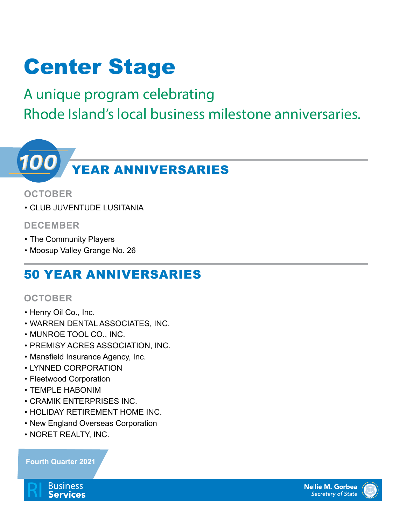# Center Stage

A unique program celebrating Rhode Island's local business milestone anniversaries.



#### **OCTOBER**

• CLUB JUVENTUDE LUSITANIA

#### **DECEMBER**

- The Community Players
- Moosup Valley Grange No. 26

### 50 YEAR ANNIVERSARIES

#### **OCTOBER**

- Henry Oil Co., Inc.
- WARREN DENTAL ASSOCIATES, INC.
- MUNROE TOOL CO., INC.
- PREMISY ACRES ASSOCIATION, INC.
- Mansfield Insurance Agency, Inc.
- LYNNED CORPORATION
- Fleetwood Corporation
- TEMPLE HABONIM
- CRAMIK ENTERPRISES INC.
- HOLIDAY RETIREMENT HOME INC.
- New England Overseas Corporation
- NORET REALTY, INC.

#### **Fourth Quarter 2021**